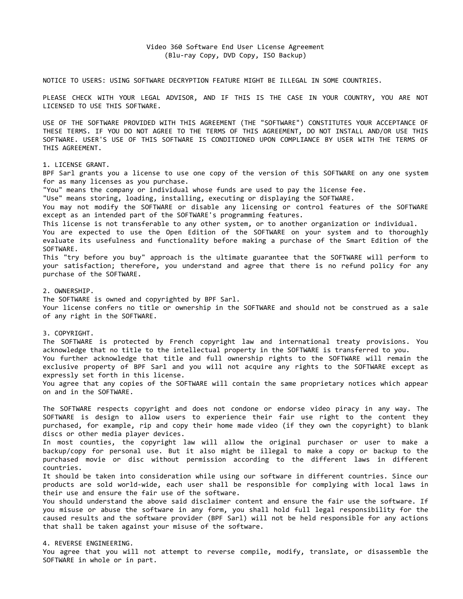NOTICE TO USERS: USING SOFTWARE DECRYPTION FEATURE MIGHT BE ILLEGAL IN SOME COUNTRIES.

PLEASE CHECK WITH YOUR LEGAL ADVISOR, AND IF THIS IS THE CASE IN YOUR COUNTRY, YOU ARE NOT LICENSED TO USE THIS SOFTWARE.

USE OF THE SOFTWARE PROVIDED WITH THIS AGREEMENT (THE "SOFTWARE") CONSTITUTES YOUR ACCEPTANCE OF THESE TERMS. IF YOU DO NOT AGREE TO THE TERMS OF THIS AGREEMENT, DO NOT INSTALL AND/OR USE THIS SOFTWARE. USER'S USE OF THIS SOFTWARE IS CONDITIONED UPON COMPLIANCE BY USER WITH THE TERMS OF THIS AGREEMENT.

1. LICENSE GRANT.

BPF Sarl grants you a license to use one copy of the version of this SOFTWARE on any one system for as many licenses as you purchase.

"You" means the company or individual whose funds are used to pay the license fee.

"Use" means storing, loading, installing, executing or displaying the SOFTWARE.

You may not modify the SOFTWARE or disable any licensing or control features of the SOFTWARE except as an intended part of the SOFTWARE's programming features.

This license is not transferable to any other system, or to another organization or individual.

You are expected to use the Open Edition of the SOFTWARE on your system and to thoroughly evaluate its usefulness and functionality before making a purchase of the Smart Edition of the SOFTWARE.

This "try before you buy" approach is the ultimate guarantee that the SOFTWARE will perform to your satisfaction; therefore, you understand and agree that there is no refund policy for any purchase of the SOFTWARE.

## 2. OWNERSHIP.

The SOFTWARE is owned and copyrighted by BPF Sarl. Your license confers no title or ownership in the SOFTWARE and should not be construed as a sale of any right in the SOFTWARE.

# 3. COPYRIGHT.

The SOFTWARE is protected by French copyright law and international treaty provisions. You acknowledge that no title to the intellectual property in the SOFTWARE is transferred to you. You further acknowledge that title and full ownership rights to the SOFTWARE will remain the exclusive property of BPF Sarl and you will not acquire any rights to the SOFTWARE except as expressly set forth in this license. You agree that any copies of the SOFTWARE will contain the same proprietary notices which appear

on and in the SOFTWARE.

The SOFTWARE respects copyright and does not condone or endorse video piracy in any way. The SOFTWARE is design to allow users to experience their fair use right to the content they purchased, for example, rip and copy their home made video (if they own the copyright) to blank discs or other media player devices.

In most counties, the copyright law will allow the original purchaser or user to make a backup/copy for personal use. But it also might be illegal to make a copy or backup to the purchased movie or disc without permission according to the different laws in different countries.

It should be taken into consideration while using our software in different countries. Since our products are sold world-wide, each user shall be responsible for complying with local laws in their use and ensure the fair use of the software.

You should understand the above said disclaimer content and ensure the fair use the software. If you misuse or abuse the software in any form, you shall hold full legal responsibility for the caused results and the software provider (BPF Sarl) will not be held responsible for any actions that shall be taken against your misuse of the software.

# 4. REVERSE ENGINEERING.

You agree that you will not attempt to reverse compile, modify, translate, or disassemble the SOFTWARE in whole or in part.